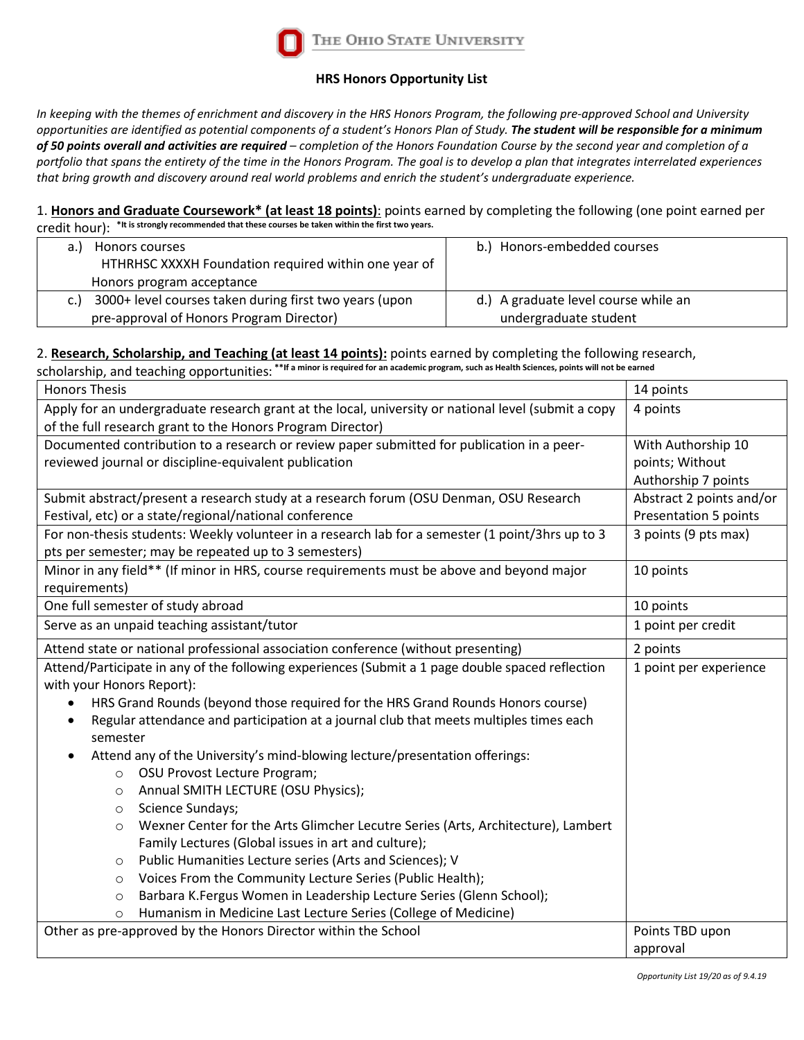

## **HRS Honors Opportunity List**

*In keeping with the themes of enrichment and discovery in the HRS Honors Program, the following pre-approved School and University opportunities are identified as potential components of a student's Honors Plan of Study. The student will be responsible for a minimum of 50 points overall and activities are required – completion of the Honors Foundation Course by the second year and completion of a portfolio that spans the entirety of the time in the Honors Program. The goal is to develop a plan that integrates interrelated experiences that bring growth and discovery around real world problems and enrich the student's undergraduate experience.* 

## 1. **Honors and Graduate Coursework\* (at least 18 points)**: points earned by completing the following (one point earned per credit hour): **\*It is strongly recommended that these courses be taken within the first two years.**

| Honors courses<br>HTHRHSC XXXXH Foundation required within one year of | Honors-embedded courses<br>b.        |  |  |  |
|------------------------------------------------------------------------|--------------------------------------|--|--|--|
| Honors program acceptance                                              |                                      |  |  |  |
| 3000+ level courses taken during first two years (upon<br>C.           | d.) A graduate level course while an |  |  |  |
| pre-approval of Honors Program Director)                               | undergraduate student                |  |  |  |

## 2. **Research, Scholarship, and Teaching (at least 14 points):** points earned by completing the following research,

scholarship, and teaching opportunities: \*\*If a minor is required for an academic program, such as Health Sciences, points will not be earned

| <b>Honors Thesis</b>      |                                                                                                     | 14 points                    |
|---------------------------|-----------------------------------------------------------------------------------------------------|------------------------------|
|                           | Apply for an undergraduate research grant at the local, university or national level (submit a copy | 4 points                     |
|                           | of the full research grant to the Honors Program Director)                                          |                              |
|                           | Documented contribution to a research or review paper submitted for publication in a peer-          | With Authorship 10           |
|                           | reviewed journal or discipline-equivalent publication                                               | points; Without              |
|                           |                                                                                                     | Authorship 7 points          |
|                           | Submit abstract/present a research study at a research forum (OSU Denman, OSU Research              | Abstract 2 points and/or     |
|                           | Festival, etc) or a state/regional/national conference                                              | <b>Presentation 5 points</b> |
|                           | For non-thesis students: Weekly volunteer in a research lab for a semester (1 point/3hrs up to 3    | 3 points (9 pts max)         |
|                           | pts per semester; may be repeated up to 3 semesters)                                                |                              |
|                           | Minor in any field** (If minor in HRS, course requirements must be above and beyond major           | 10 points                    |
| requirements)             |                                                                                                     |                              |
|                           | One full semester of study abroad                                                                   | 10 points                    |
|                           | Serve as an unpaid teaching assistant/tutor                                                         | 1 point per credit           |
|                           | Attend state or national professional association conference (without presenting)                   | 2 points                     |
|                           | Attend/Participate in any of the following experiences (Submit a 1 page double spaced reflection    | 1 point per experience       |
| with your Honors Report): |                                                                                                     |                              |
|                           | HRS Grand Rounds (beyond those required for the HRS Grand Rounds Honors course)                     |                              |
| ٠                         | Regular attendance and participation at a journal club that meets multiples times each              |                              |
| semester                  |                                                                                                     |                              |
|                           | Attend any of the University's mind-blowing lecture/presentation offerings:                         |                              |
| $\circ$                   | OSU Provost Lecture Program;                                                                        |                              |
| $\circ$                   | Annual SMITH LECTURE (OSU Physics);                                                                 |                              |
| $\circ$                   | Science Sundays;                                                                                    |                              |
| $\circ$                   | Wexner Center for the Arts Glimcher Lecutre Series (Arts, Architecture), Lambert                    |                              |
|                           | Family Lectures (Global issues in art and culture);                                                 |                              |
| $\circ$                   | Public Humanities Lecture series (Arts and Sciences); V                                             |                              |
| $\circ$                   | Voices From the Community Lecture Series (Public Health);                                           |                              |
| $\circ$                   | Barbara K.Fergus Women in Leadership Lecture Series (Glenn School);                                 |                              |
| $\circ$                   | Humanism in Medicine Last Lecture Series (College of Medicine)                                      |                              |
|                           | Other as pre-approved by the Honors Director within the School                                      | Points TBD upon              |
|                           |                                                                                                     | approval                     |